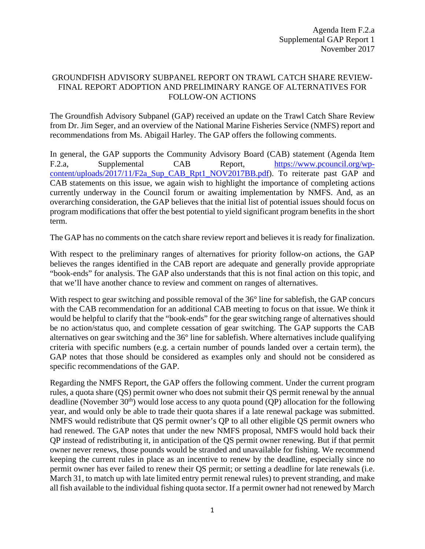## GROUNDFISH ADVISORY SUBPANEL REPORT ON TRAWL CATCH SHARE REVIEW-FINAL REPORT ADOPTION AND PRELIMINARY RANGE OF ALTERNATIVES FOR FOLLOW-ON ACTIONS

The Groundfish Advisory Subpanel (GAP) received an update on the Trawl Catch Share Review from Dr. Jim Seger, and an overview of the National Marine Fisheries Service (NMFS) report and recommendations from Ms. Abigail Harley. The GAP offers the following comments.

In general, the GAP supports the Community Advisory Board (CAB) statement (Agenda Item F.2.a, Supplemental CAB Report, [https://www.pcouncil.org/wp](https://www.pcouncil.org/wp-content/uploads/2017/11/F2a_Sup_CAB_Rpt1_NOV2017BB.pdf)[content/uploads/2017/11/F2a\\_Sup\\_CAB\\_Rpt1\\_NOV2017BB.pdf\)](https://www.pcouncil.org/wp-content/uploads/2017/11/F2a_Sup_CAB_Rpt1_NOV2017BB.pdf). To reiterate past GAP and CAB statements on this issue, we again wish to highlight the importance of completing actions currently underway in the Council forum or awaiting implementation by NMFS. And, as an overarching consideration, the GAP believes that the initial list of potential issues should focus on program modifications that offer the best potential to yield significant program benefits in the short term.

The GAP has no comments on the catch share review report and believes it is ready for finalization.

With respect to the preliminary ranges of alternatives for priority follow-on actions, the GAP believes the ranges identified in the CAB report are adequate and generally provide appropriate "book-ends" for analysis. The GAP also understands that this is not final action on this topic, and that we'll have another chance to review and comment on ranges of alternatives.

With respect to gear switching and possible removal of the 36<sup>°</sup> line for sablefish, the GAP concurs with the CAB recommendation for an additional CAB meeting to focus on that issue. We think it would be helpful to clarify that the "book-ends" for the gear switching range of alternatives should be no action/status quo, and complete cessation of gear switching. The GAP supports the CAB alternatives on gear switching and the 36° line for sablefish. Where alternatives include qualifying criteria with specific numbers (e.g. a certain number of pounds landed over a certain term), the GAP notes that those should be considered as examples only and should not be considered as specific recommendations of the GAP.

Regarding the NMFS Report, the GAP offers the following comment. Under the current program rules, a quota share (QS) permit owner who does not submit their QS permit renewal by the annual deadline (November  $30<sup>th</sup>$ ) would lose access to any quota pound (QP) allocation for the following year, and would only be able to trade their quota shares if a late renewal package was submitted. NMFS would redistribute that QS permit owner's QP to all other eligible QS permit owners who had renewed. The GAP notes that under the new NMFS proposal, NMFS would hold back their QP instead of redistributing it, in anticipation of the QS permit owner renewing. But if that permit owner never renews, those pounds would be stranded and unavailable for fishing. We recommend keeping the current rules in place as an incentive to renew by the deadline, especially since no permit owner has ever failed to renew their QS permit; or setting a deadline for late renewals (i.e. March 31, to match up with late limited entry permit renewal rules) to prevent stranding, and make all fish available to the individual fishing quota sector. If a permit owner had not renewed by March